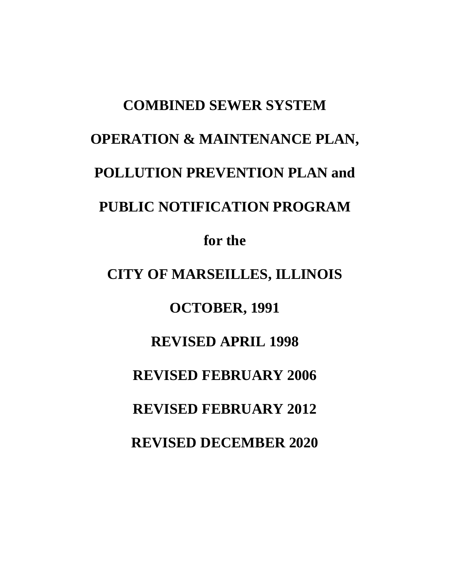# **COMBINED SEWER SYSTEM OPERATION & MAINTENANCE PLAN, POLLUTION PREVENTION PLAN and PUBLIC NOTIFICATION PROGRAM for the CITY OF MARSEILLES, ILLINOIS**

**OCTOBER, 1991**

# **REVISED APRIL 1998**

# **REVISED FEBRUARY 2006**

**REVISED FEBRUARY 2012**

**REVISED DECEMBER 2020**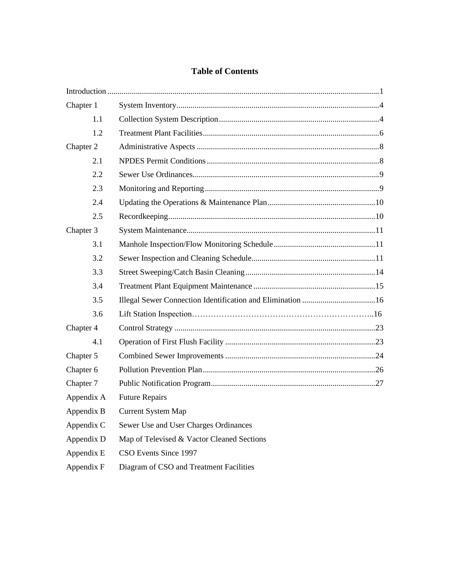#### **Table of Contents**

| Chapter 1  |                                            |  |
|------------|--------------------------------------------|--|
| 1.1        |                                            |  |
| 1.2        |                                            |  |
| Chapter 2  |                                            |  |
| 2.1        |                                            |  |
| 2.2        |                                            |  |
| 2.3        |                                            |  |
| 2.4        |                                            |  |
| 2.5        |                                            |  |
| Chapter 3  |                                            |  |
| 3.1        |                                            |  |
| 3.2        |                                            |  |
| 3.3        |                                            |  |
| 3.4        |                                            |  |
| 3.5        |                                            |  |
| 3.6        |                                            |  |
| Chapter 4  |                                            |  |
| 4.1        |                                            |  |
| Chapter 5  |                                            |  |
| Chapter 6  |                                            |  |
| Chapter 7  |                                            |  |
| Appendix A | <b>Future Repairs</b>                      |  |
| Appendix B | <b>Current System Map</b>                  |  |
| Appendix C | Sewer Use and User Charges Ordinances      |  |
| Appendix D | Map of Televised & Vactor Cleaned Sections |  |
| Appendix E | CSO Events Since 1997                      |  |
| Appendix F | Diagram of CSO and Treatment Facilities    |  |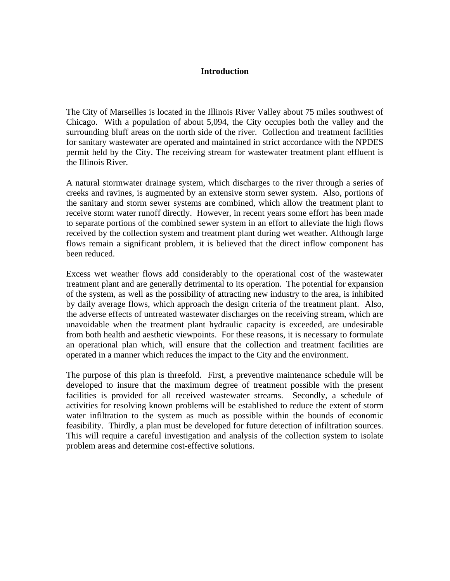#### **Introduction**

The City of Marseilles is located in the Illinois River Valley about 75 miles southwest of Chicago. With a population of about 5,094, the City occupies both the valley and the surrounding bluff areas on the north side of the river. Collection and treatment facilities for sanitary wastewater are operated and maintained in strict accordance with the NPDES permit held by the City. The receiving stream for wastewater treatment plant effluent is the Illinois River.

A natural stormwater drainage system, which discharges to the river through a series of creeks and ravines, is augmented by an extensive storm sewer system. Also, portions of the sanitary and storm sewer systems are combined, which allow the treatment plant to receive storm water runoff directly. However, in recent years some effort has been made to separate portions of the combined sewer system in an effort to alleviate the high flows received by the collection system and treatment plant during wet weather. Although large flows remain a significant problem, it is believed that the direct inflow component has been reduced.

Excess wet weather flows add considerably to the operational cost of the wastewater treatment plant and are generally detrimental to its operation. The potential for expansion of the system, as well as the possibility of attracting new industry to the area, is inhibited by daily average flows, which approach the design criteria of the treatment plant. Also, the adverse effects of untreated wastewater discharges on the receiving stream, which are unavoidable when the treatment plant hydraulic capacity is exceeded, are undesirable from both health and aesthetic viewpoints. For these reasons, it is necessary to formulate an operational plan which, will ensure that the collection and treatment facilities are operated in a manner which reduces the impact to the City and the environment.

The purpose of this plan is threefold. First, a preventive maintenance schedule will be developed to insure that the maximum degree of treatment possible with the present facilities is provided for all received wastewater streams. Secondly, a schedule of activities for resolving known problems will be established to reduce the extent of storm water infiltration to the system as much as possible within the bounds of economic feasibility. Thirdly, a plan must be developed for future detection of infiltration sources. This will require a careful investigation and analysis of the collection system to isolate problem areas and determine cost-effective solutions.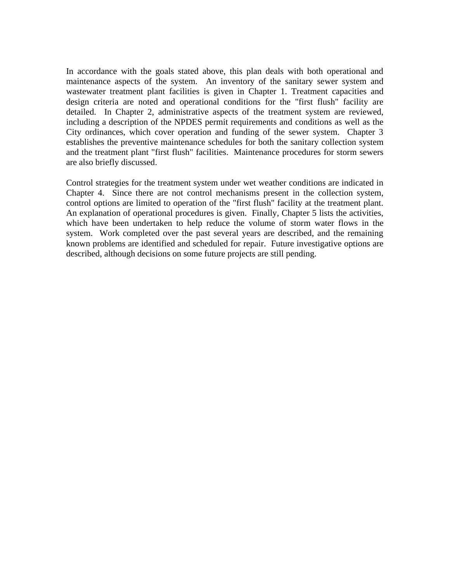In accordance with the goals stated above, this plan deals with both operational and maintenance aspects of the system. An inventory of the sanitary sewer system and wastewater treatment plant facilities is given in Chapter 1. Treatment capacities and design criteria are noted and operational conditions for the "first flush" facility are detailed. In Chapter 2, administrative aspects of the treatment system are reviewed, including a description of the NPDES permit requirements and conditions as well as the City ordinances, which cover operation and funding of the sewer system. Chapter 3 establishes the preventive maintenance schedules for both the sanitary collection system and the treatment plant "first flush" facilities. Maintenance procedures for storm sewers are also briefly discussed.

Control strategies for the treatment system under wet weather conditions are indicated in Chapter 4. Since there are not control mechanisms present in the collection system, control options are limited to operation of the "first flush" facility at the treatment plant. An explanation of operational procedures is given. Finally, Chapter 5 lists the activities, which have been undertaken to help reduce the volume of storm water flows in the system. Work completed over the past several years are described, and the remaining known problems are identified and scheduled for repair. Future investigative options are described, although decisions on some future projects are still pending.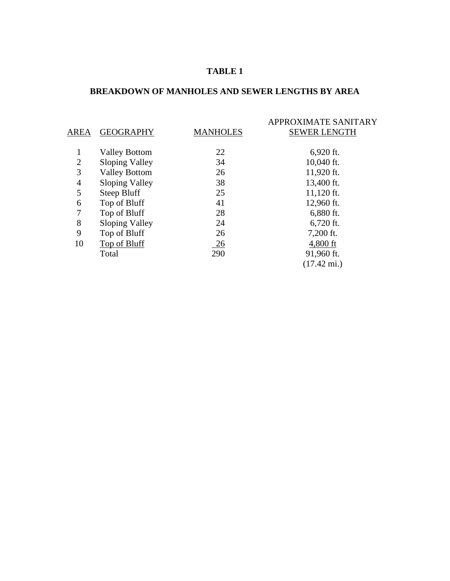#### **TABLE 1**

#### **BREAKDOWN OF MANHOLES AND SEWER LENGTHS BY AREA**

| AREA           | <b>GEOGRAPHY</b>      | <b>MANHOLES</b> | APPROXIMATE SANITARY<br><b>SEWER LENGTH</b> |
|----------------|-----------------------|-----------------|---------------------------------------------|
|                | <b>Valley Bottom</b>  | 22              | $6,920$ ft.                                 |
| $\overline{2}$ | Sloping Valley        | 34              | 10,040 ft.                                  |
| 3              | <b>Valley Bottom</b>  | 26              | 11,920 ft.                                  |
| 4              | <b>Sloping Valley</b> | 38              | 13,400 ft.                                  |
| 5              | Steep Bluff           | 25              | $11,120$ ft.                                |
| 6              | Top of Bluff          | 41              | 12,960 ft.                                  |
| 7              | Top of Bluff          | 28              | 6,880 ft.                                   |
| 8              | <b>Sloping Valley</b> | 24              | $6,720$ ft.                                 |
| 9              | Top of Bluff          | 26              | 7,200 ft.                                   |
| 10             | Top of Bluff          | $\frac{26}{5}$  | 4,800 ft                                    |
|                | Total                 | 290             | 91,960 ft.                                  |
|                |                       |                 | $(17.42 \text{ mi.})$                       |
|                |                       |                 |                                             |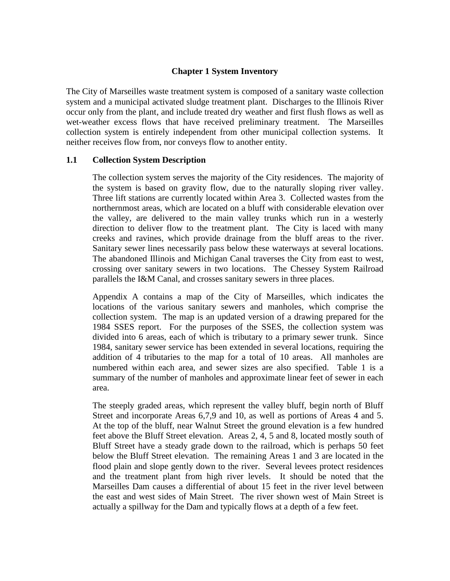#### **Chapter 1 System Inventory**

The City of Marseilles waste treatment system is composed of a sanitary waste collection system and a municipal activated sludge treatment plant. Discharges to the Illinois River occur only from the plant, and include treated dry weather and first flush flows as well as wet-weather excess flows that have received preliminary treatment. The Marseilles collection system is entirely independent from other municipal collection systems. It neither receives flow from, nor conveys flow to another entity.

#### **1.1 Collection System Description**

The collection system serves the majority of the City residences. The majority of the system is based on gravity flow, due to the naturally sloping river valley. Three lift stations are currently located within Area 3. Collected wastes from the northernmost areas, which are located on a bluff with considerable elevation over the valley, are delivered to the main valley trunks which run in a westerly direction to deliver flow to the treatment plant. The City is laced with many creeks and ravines, which provide drainage from the bluff areas to the river. Sanitary sewer lines necessarily pass below these waterways at several locations. The abandoned Illinois and Michigan Canal traverses the City from east to west, crossing over sanitary sewers in two locations. The Chessey System Railroad parallels the I&M Canal, and crosses sanitary sewers in three places.

Appendix A contains a map of the City of Marseilles, which indicates the locations of the various sanitary sewers and manholes, which comprise the collection system. The map is an updated version of a drawing prepared for the 1984 SSES report. For the purposes of the SSES, the collection system was divided into 6 areas, each of which is tributary to a primary sewer trunk. Since 1984, sanitary sewer service has been extended in several locations, requiring the addition of 4 tributaries to the map for a total of 10 areas. All manholes are numbered within each area, and sewer sizes are also specified. Table 1 is a summary of the number of manholes and approximate linear feet of sewer in each area.

The steeply graded areas, which represent the valley bluff, begin north of Bluff Street and incorporate Areas 6,7,9 and 10, as well as portions of Areas 4 and 5. At the top of the bluff, near Walnut Street the ground elevation is a few hundred feet above the Bluff Street elevation. Areas 2, 4, 5 and 8, located mostly south of Bluff Street have a steady grade down to the railroad, which is perhaps 50 feet below the Bluff Street elevation. The remaining Areas 1 and 3 are located in the flood plain and slope gently down to the river. Several levees protect residences and the treatment plant from high river levels. It should be noted that the Marseilles Dam causes a differential of about 15 feet in the river level between the east and west sides of Main Street. The river shown west of Main Street is actually a spillway for the Dam and typically flows at a depth of a few feet.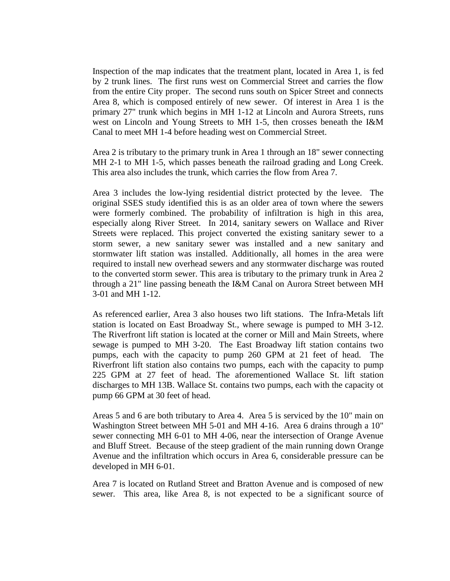Inspection of the map indicates that the treatment plant, located in Area 1, is fed by 2 trunk lines. The first runs west on Commercial Street and carries the flow from the entire City proper. The second runs south on Spicer Street and connects Area 8, which is composed entirely of new sewer. Of interest in Area 1 is the primary 27" trunk which begins in MH 1-12 at Lincoln and Aurora Streets, runs west on Lincoln and Young Streets to MH 1-5, then crosses beneath the I&M Canal to meet MH 1-4 before heading west on Commercial Street.

Area 2 is tributary to the primary trunk in Area 1 through an 18" sewer connecting MH 2-1 to MH 1-5, which passes beneath the railroad grading and Long Creek. This area also includes the trunk, which carries the flow from Area 7.

Area 3 includes the low-lying residential district protected by the levee. The original SSES study identified this is as an older area of town where the sewers were formerly combined. The probability of infiltration is high in this area, especially along River Street. In 2014, sanitary sewers on Wallace and River Streets were replaced. This project converted the existing sanitary sewer to a storm sewer, a new sanitary sewer was installed and a new sanitary and stormwater lift station was installed. Additionally, all homes in the area were required to install new overhead sewers and any stormwater discharge was routed to the converted storm sewer. This area is tributary to the primary trunk in Area 2 through a 21" line passing beneath the I&M Canal on Aurora Street between MH 3-01 and MH 1-12.

As referenced earlier, Area 3 also houses two lift stations. The Infra-Metals lift station is located on East Broadway St., where sewage is pumped to MH 3-12. The Riverfront lift station is located at the corner or Mill and Main Streets, where sewage is pumped to MH 3-20. The East Broadway lift station contains two pumps, each with the capacity to pump 260 GPM at 21 feet of head. The Riverfront lift station also contains two pumps, each with the capacity to pump 225 GPM at 27 feet of head. The aforementioned Wallace St. lift station discharges to MH 13B. Wallace St. contains two pumps, each with the capacity ot pump 66 GPM at 30 feet of head.

Areas 5 and 6 are both tributary to Area 4. Area 5 is serviced by the 10" main on Washington Street between MH 5-01 and MH 4-16. Area 6 drains through a 10" sewer connecting MH 6-01 to MH 4-06, near the intersection of Orange Avenue and Bluff Street. Because of the steep gradient of the main running down Orange Avenue and the infiltration which occurs in Area 6, considerable pressure can be developed in MH 6-01.

Area 7 is located on Rutland Street and Bratton Avenue and is composed of new sewer. This area, like Area 8, is not expected to be a significant source of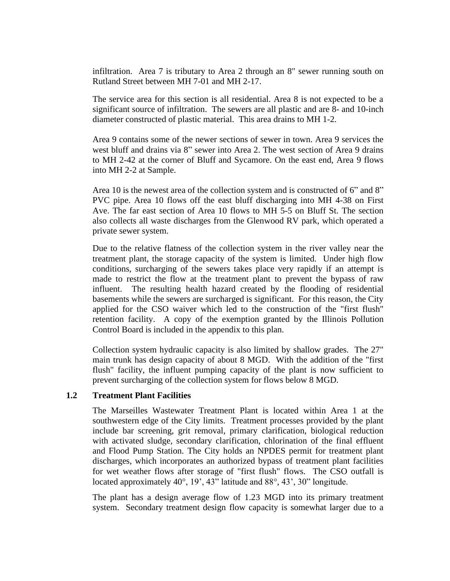infiltration. Area 7 is tributary to Area 2 through an 8" sewer running south on Rutland Street between MH 7-01 and MH 2-17.

The service area for this section is all residential. Area 8 is not expected to be a significant source of infiltration. The sewers are all plastic and are 8- and 10-inch diameter constructed of plastic material. This area drains to MH 1-2.

Area 9 contains some of the newer sections of sewer in town. Area 9 services the west bluff and drains via 8" sewer into Area 2. The west section of Area 9 drains to MH 2-42 at the corner of Bluff and Sycamore. On the east end, Area 9 flows into MH 2-2 at Sample.

Area 10 is the newest area of the collection system and is constructed of 6" and 8" PVC pipe. Area 10 flows off the east bluff discharging into MH 4-38 on First Ave. The far east section of Area 10 flows to MH 5-5 on Bluff St. The section also collects all waste discharges from the Glenwood RV park, which operated a private sewer system.

Due to the relative flatness of the collection system in the river valley near the treatment plant, the storage capacity of the system is limited. Under high flow conditions, surcharging of the sewers takes place very rapidly if an attempt is made to restrict the flow at the treatment plant to prevent the bypass of raw influent. The resulting health hazard created by the flooding of residential basements while the sewers are surcharged is significant. For this reason, the City applied for the CSO waiver which led to the construction of the "first flush" retention facility. A copy of the exemption granted by the Illinois Pollution Control Board is included in the appendix to this plan.

Collection system hydraulic capacity is also limited by shallow grades. The 27" main trunk has design capacity of about 8 MGD. With the addition of the "first flush" facility, the influent pumping capacity of the plant is now sufficient to prevent surcharging of the collection system for flows below 8 MGD.

#### **1.2 Treatment Plant Facilities**

The Marseilles Wastewater Treatment Plant is located within Area 1 at the southwestern edge of the City limits. Treatment processes provided by the plant include bar screening, grit removal, primary clarification, biological reduction with activated sludge, secondary clarification, chlorination of the final effluent and Flood Pump Station. The City holds an NPDES permit for treatment plant discharges, which incorporates an authorized bypass of treatment plant facilities for wet weather flows after storage of "first flush" flows. The CSO outfall is located approximately  $40^{\circ}$ ,  $19'$ ,  $43''$  latitude and  $88^{\circ}$ ,  $43'$ ,  $30''$  longitude.

The plant has a design average flow of 1.23 MGD into its primary treatment system. Secondary treatment design flow capacity is somewhat larger due to a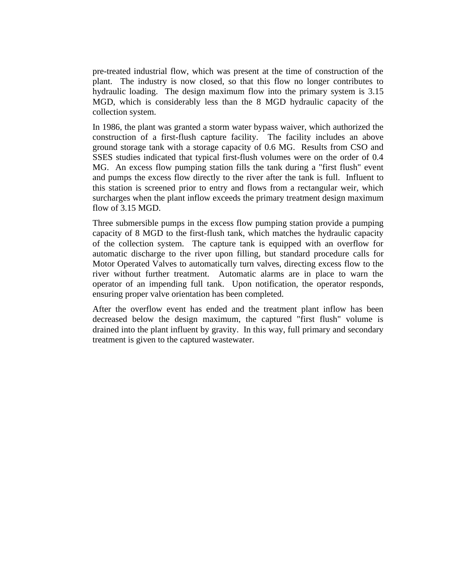pre-treated industrial flow, which was present at the time of construction of the plant. The industry is now closed, so that this flow no longer contributes to hydraulic loading. The design maximum flow into the primary system is 3.15 MGD, which is considerably less than the 8 MGD hydraulic capacity of the collection system.

In 1986, the plant was granted a storm water bypass waiver, which authorized the construction of a first-flush capture facility. The facility includes an above ground storage tank with a storage capacity of 0.6 MG. Results from CSO and SSES studies indicated that typical first-flush volumes were on the order of 0.4 MG. An excess flow pumping station fills the tank during a "first flush" event and pumps the excess flow directly to the river after the tank is full. Influent to this station is screened prior to entry and flows from a rectangular weir, which surcharges when the plant inflow exceeds the primary treatment design maximum flow of 3.15 MGD.

Three submersible pumps in the excess flow pumping station provide a pumping capacity of 8 MGD to the first-flush tank, which matches the hydraulic capacity of the collection system. The capture tank is equipped with an overflow for automatic discharge to the river upon filling, but standard procedure calls for Motor Operated Valves to automatically turn valves, directing excess flow to the river without further treatment. Automatic alarms are in place to warn the operator of an impending full tank. Upon notification, the operator responds, ensuring proper valve orientation has been completed.

After the overflow event has ended and the treatment plant inflow has been decreased below the design maximum, the captured "first flush" volume is drained into the plant influent by gravity. In this way, full primary and secondary treatment is given to the captured wastewater.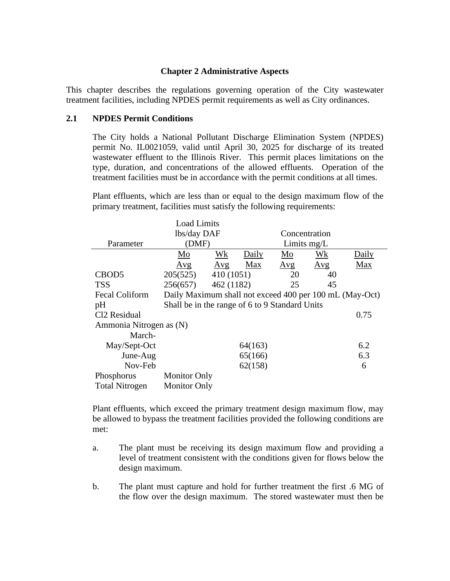#### **Chapter 2 Administrative Aspects**

This chapter describes the regulations governing operation of the City wastewater treatment facilities, including NPDES permit requirements as well as City ordinances.

#### **2.1 NPDES Permit Conditions**

The City holds a National Pollutant Discharge Elimination System (NPDES) permit No. IL0021059, valid until April 30, 2025 for discharge of its treated wastewater effluent to the Illinois River. This permit places limitations on the type, duration, and concentrations of the allowed effluents. Operation of the treatment facilities must be in accordance with the permit conditions at all times.

Plant effluents, which are less than or equal to the design maximum flow of the primary treatment, facilities must satisfy the following requirements:

|                          | <b>Load Limits</b>                                      |            |         |               |           |       |
|--------------------------|---------------------------------------------------------|------------|---------|---------------|-----------|-------|
|                          | lbs/day DAF                                             |            |         | Concentration |           |       |
| Parameter                | (DMF)                                                   |            |         | Limits mg/L   |           |       |
|                          | Mo                                                      | <u>Wk</u>  | Daily   | Mo            | <u>Wk</u> | Daily |
|                          | Avg                                                     | Avg        | Max     | Avg           | Avg       | Max   |
| CBOD <sub>5</sub>        | 205(525)                                                | 410(1051)  |         | 20            | 40        |       |
| <b>TSS</b>               | 256(657)                                                | 462 (1182) |         | 25            | 45        |       |
| <b>Fecal Coliform</b>    | Daily Maximum shall not exceed 400 per 100 mL (May-Oct) |            |         |               |           |       |
| pH                       | Shall be in the range of 6 to 9 Standard Units          |            |         |               |           |       |
| Cl <sub>2</sub> Residual |                                                         |            |         |               |           | 0.75  |
| Ammonia Nitrogen as (N)  |                                                         |            |         |               |           |       |
| March-                   |                                                         |            |         |               |           |       |
| May/Sept-Oct             |                                                         |            | 64(163) |               |           | 6.2   |
| June-Aug                 |                                                         |            | 65(166) |               |           | 6.3   |
| Nov-Feb                  |                                                         |            | 62(158) |               |           | 6     |
| Phosphorus               | <b>Monitor Only</b>                                     |            |         |               |           |       |
| <b>Total Nitrogen</b>    | <b>Monitor Only</b>                                     |            |         |               |           |       |

Plant effluents, which exceed the primary treatment design maximum flow, may be allowed to bypass the treatment facilities provided the following conditions are met:

- a. The plant must be receiving its design maximum flow and providing a level of treatment consistent with the conditions given for flows below the design maximum.
- b. The plant must capture and hold for further treatment the first .6 MG of the flow over the design maximum. The stored wastewater must then be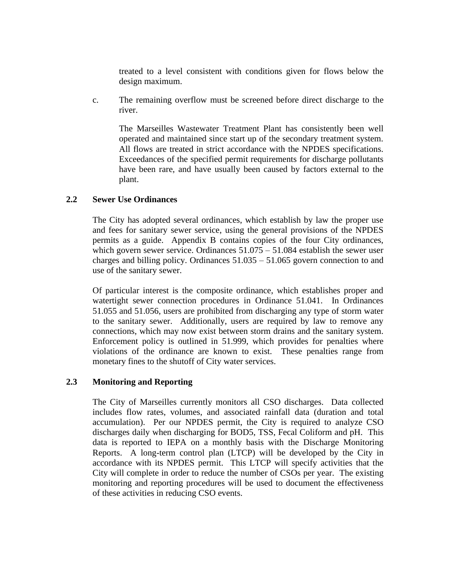treated to a level consistent with conditions given for flows below the design maximum.

c. The remaining overflow must be screened before direct discharge to the river.

The Marseilles Wastewater Treatment Plant has consistently been well operated and maintained since start up of the secondary treatment system. All flows are treated in strict accordance with the NPDES specifications. Exceedances of the specified permit requirements for discharge pollutants have been rare, and have usually been caused by factors external to the plant.

#### **2.2 Sewer Use Ordinances**

The City has adopted several ordinances, which establish by law the proper use and fees for sanitary sewer service, using the general provisions of the NPDES permits as a guide. Appendix B contains copies of the four City ordinances, which govern sewer service. Ordinances  $51.075 - 51.084$  establish the sewer user charges and billing policy. Ordinances 51.035 – 51.065 govern connection to and use of the sanitary sewer.

Of particular interest is the composite ordinance, which establishes proper and watertight sewer connection procedures in Ordinance 51.041. In Ordinances 51.055 and 51.056, users are prohibited from discharging any type of storm water to the sanitary sewer. Additionally, users are required by law to remove any connections, which may now exist between storm drains and the sanitary system. Enforcement policy is outlined in 51.999, which provides for penalties where violations of the ordinance are known to exist. These penalties range from monetary fines to the shutoff of City water services.

#### **2.3 Monitoring and Reporting**

The City of Marseilles currently monitors all CSO discharges. Data collected includes flow rates, volumes, and associated rainfall data (duration and total accumulation). Per our NPDES permit, the City is required to analyze CSO discharges daily when discharging for BOD5, TSS, Fecal Coliform and pH. This data is reported to IEPA on a monthly basis with the Discharge Monitoring Reports. A long-term control plan (LTCP) will be developed by the City in accordance with its NPDES permit. This LTCP will specify activities that the City will complete in order to reduce the number of CSOs per year. The existing monitoring and reporting procedures will be used to document the effectiveness of these activities in reducing CSO events.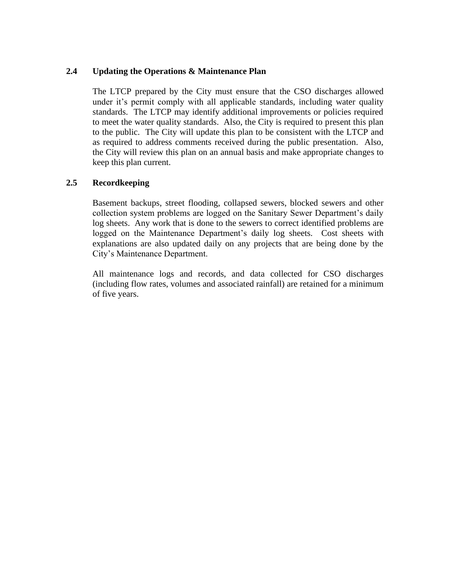#### **2.4 Updating the Operations & Maintenance Plan**

The LTCP prepared by the City must ensure that the CSO discharges allowed under it's permit comply with all applicable standards, including water quality standards. The LTCP may identify additional improvements or policies required to meet the water quality standards. Also, the City is required to present this plan to the public. The City will update this plan to be consistent with the LTCP and as required to address comments received during the public presentation. Also, the City will review this plan on an annual basis and make appropriate changes to keep this plan current.

#### **2.5 Recordkeeping**

Basement backups, street flooding, collapsed sewers, blocked sewers and other collection system problems are logged on the Sanitary Sewer Department's daily log sheets. Any work that is done to the sewers to correct identified problems are logged on the Maintenance Department's daily log sheets. Cost sheets with explanations are also updated daily on any projects that are being done by the City's Maintenance Department.

All maintenance logs and records, and data collected for CSO discharges (including flow rates, volumes and associated rainfall) are retained for a minimum of five years.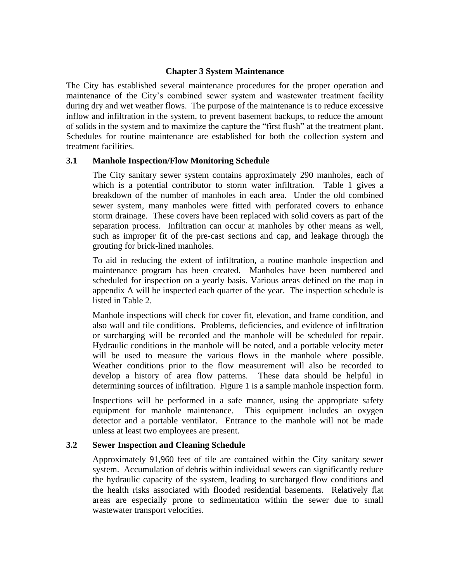#### **Chapter 3 System Maintenance**

The City has established several maintenance procedures for the proper operation and maintenance of the City's combined sewer system and wastewater treatment facility during dry and wet weather flows. The purpose of the maintenance is to reduce excessive inflow and infiltration in the system, to prevent basement backups, to reduce the amount of solids in the system and to maximize the capture the "first flush" at the treatment plant. Schedules for routine maintenance are established for both the collection system and treatment facilities.

#### **3.1 Manhole Inspection/Flow Monitoring Schedule**

The City sanitary sewer system contains approximately 290 manholes, each of which is a potential contributor to storm water infiltration. Table 1 gives a breakdown of the number of manholes in each area. Under the old combined sewer system, many manholes were fitted with perforated covers to enhance storm drainage. These covers have been replaced with solid covers as part of the separation process. Infiltration can occur at manholes by other means as well, such as improper fit of the pre-cast sections and cap, and leakage through the grouting for brick-lined manholes.

To aid in reducing the extent of infiltration, a routine manhole inspection and maintenance program has been created. Manholes have been numbered and scheduled for inspection on a yearly basis. Various areas defined on the map in appendix A will be inspected each quarter of the year. The inspection schedule is listed in Table 2.

Manhole inspections will check for cover fit, elevation, and frame condition, and also wall and tile conditions. Problems, deficiencies, and evidence of infiltration or surcharging will be recorded and the manhole will be scheduled for repair. Hydraulic conditions in the manhole will be noted, and a portable velocity meter will be used to measure the various flows in the manhole where possible. Weather conditions prior to the flow measurement will also be recorded to develop a history of area flow patterns. These data should be helpful in determining sources of infiltration. Figure 1 is a sample manhole inspection form.

Inspections will be performed in a safe manner, using the appropriate safety equipment for manhole maintenance. This equipment includes an oxygen detector and a portable ventilator. Entrance to the manhole will not be made unless at least two employees are present.

#### **3.2 Sewer Inspection and Cleaning Schedule**

Approximately 91,960 feet of tile are contained within the City sanitary sewer system. Accumulation of debris within individual sewers can significantly reduce the hydraulic capacity of the system, leading to surcharged flow conditions and the health risks associated with flooded residential basements. Relatively flat areas are especially prone to sedimentation within the sewer due to small wastewater transport velocities.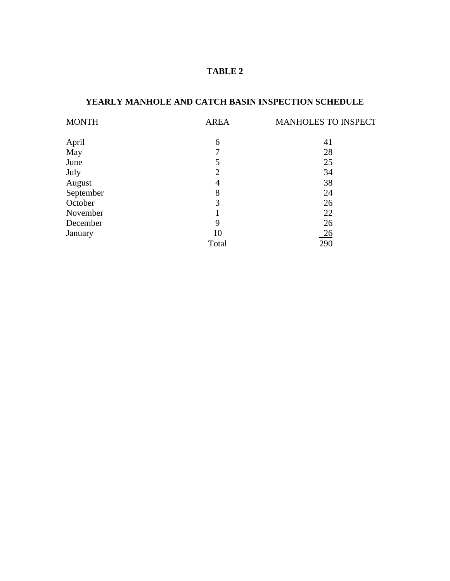# **TABLE 2**

## **YEARLY MANHOLE AND CATCH BASIN INSPECTION SCHEDULE**

| <b>MONTH</b> | <b>AREA</b>    | MANHOLES TO INSPECT |
|--------------|----------------|---------------------|
| April        | 6              | 41                  |
| May          | 7              | 28                  |
| June         | 5              | 25                  |
| July         | $\overline{2}$ | 34                  |
| August       | 4              | 38                  |
| September    | 8              | 24                  |
| October      | 3              | 26                  |
| November     |                | 22                  |
| December     | 9              | 26                  |
| January      | 10             | $\frac{26}{ }$      |
|              | Total          | 290                 |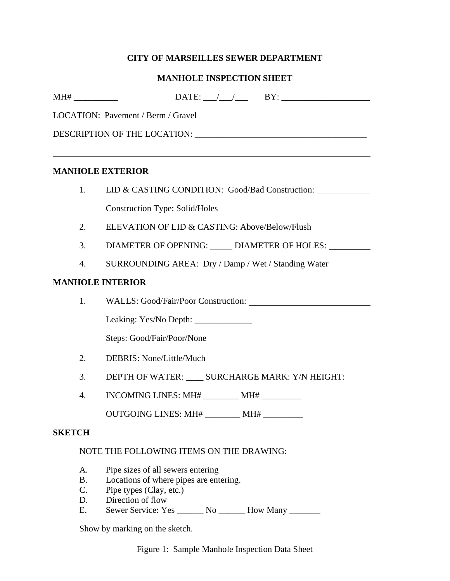# **CITY OF MARSEILLES SEWER DEPARTMENT**

## **MANHOLE INSPECTION SHEET**

|                             | LOCATION: Pavement / Berm / Gravel                                                                                          |
|-----------------------------|-----------------------------------------------------------------------------------------------------------------------------|
|                             |                                                                                                                             |
|                             |                                                                                                                             |
| <b>MANHOLE EXTERIOR</b>     |                                                                                                                             |
| 1.                          | LID & CASTING CONDITION: Good/Bad Construction:                                                                             |
|                             | <b>Construction Type: Solid/Holes</b>                                                                                       |
| 2.                          | ELEVATION OF LID & CASTING: Above/Below/Flush                                                                               |
| 3.                          | DIAMETER OF OPENING: _____ DIAMETER OF HOLES: ____                                                                          |
| 4.                          | SURROUNDING AREA: Dry / Damp / Wet / Standing Water                                                                         |
| <b>MANHOLE INTERIOR</b>     |                                                                                                                             |
| 1.                          | WALLS: Good/Fair/Poor Construction:                                                                                         |
|                             | Leaking: Yes/No Depth: _______________                                                                                      |
|                             | Steps: Good/Fair/Poor/None                                                                                                  |
| 2.                          | DEBRIS: None/Little/Much                                                                                                    |
| 3.                          | DEPTH OF WATER: ____ SURCHARGE MARK: Y/N HEIGHT: ___                                                                        |
| 4.                          | INCOMING LINES: MH# _________ MH#                                                                                           |
|                             | OUTGOING LINES: MH#                                                                                                         |
| <b>SKETCH</b>               |                                                                                                                             |
|                             | NOTE THE FOLLOWING ITEMS ON THE DRAWING:                                                                                    |
| A.<br><b>B.</b><br>C.<br>D. | Pipe sizes of all sewers entering<br>Locations of where pipes are entering.<br>Pipe types (Clay, etc.)<br>Direction of flow |

E. Sewer Service: Yes \_\_\_\_\_\_ No \_\_\_\_\_\_ How Many \_\_\_\_\_\_\_

Show by marking on the sketch.

Figure 1: Sample Manhole Inspection Data Sheet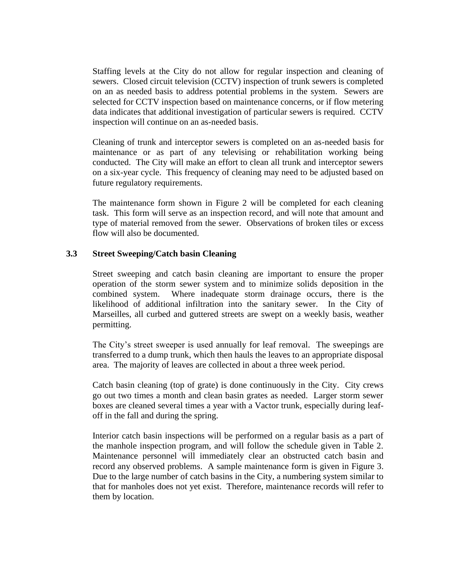Staffing levels at the City do not allow for regular inspection and cleaning of sewers. Closed circuit television (CCTV) inspection of trunk sewers is completed on an as needed basis to address potential problems in the system. Sewers are selected for CCTV inspection based on maintenance concerns, or if flow metering data indicates that additional investigation of particular sewers is required. CCTV inspection will continue on an as-needed basis.

Cleaning of trunk and interceptor sewers is completed on an as-needed basis for maintenance or as part of any televising or rehabilitation working being conducted. The City will make an effort to clean all trunk and interceptor sewers on a six-year cycle. This frequency of cleaning may need to be adjusted based on future regulatory requirements.

The maintenance form shown in Figure 2 will be completed for each cleaning task. This form will serve as an inspection record, and will note that amount and type of material removed from the sewer. Observations of broken tiles or excess flow will also be documented.

#### **3.3 Street Sweeping/Catch basin Cleaning**

Street sweeping and catch basin cleaning are important to ensure the proper operation of the storm sewer system and to minimize solids deposition in the combined system. Where inadequate storm drainage occurs, there is the likelihood of additional infiltration into the sanitary sewer. In the City of Marseilles, all curbed and guttered streets are swept on a weekly basis, weather permitting.

The City's street sweeper is used annually for leaf removal. The sweepings are transferred to a dump trunk, which then hauls the leaves to an appropriate disposal area. The majority of leaves are collected in about a three week period.

Catch basin cleaning (top of grate) is done continuously in the City. City crews go out two times a month and clean basin grates as needed. Larger storm sewer boxes are cleaned several times a year with a Vactor trunk, especially during leafoff in the fall and during the spring.

Interior catch basin inspections will be performed on a regular basis as a part of the manhole inspection program, and will follow the schedule given in Table 2. Maintenance personnel will immediately clear an obstructed catch basin and record any observed problems. A sample maintenance form is given in Figure 3. Due to the large number of catch basins in the City, a numbering system similar to that for manholes does not yet exist. Therefore, maintenance records will refer to them by location.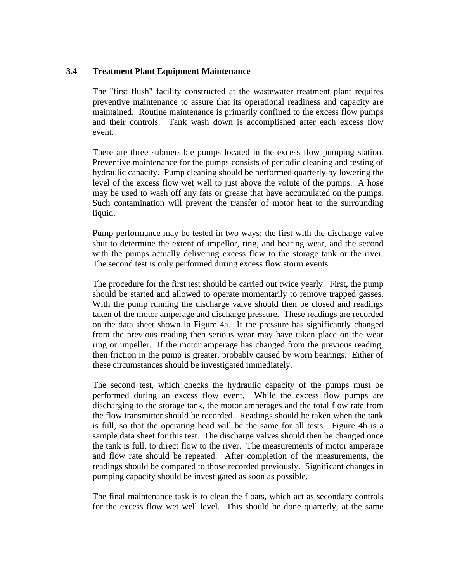#### **3.4 Treatment Plant Equipment Maintenance**

The "first flush" facility constructed at the wastewater treatment plant requires preventive maintenance to assure that its operational readiness and capacity are maintained. Routine maintenance is primarily confined to the excess flow pumps and their controls. Tank wash down is accomplished after each excess flow event.

There are three submersible pumps located in the excess flow pumping station. Preventive maintenance for the pumps consists of periodic cleaning and testing of hydraulic capacity. Pump cleaning should be performed quarterly by lowering the level of the excess flow wet well to just above the volute of the pumps. A hose may be used to wash off any fats or grease that have accumulated on the pumps. Such contamination will prevent the transfer of motor heat to the surrounding liquid.

Pump performance may be tested in two ways; the first with the discharge valve shut to determine the extent of impellor, ring, and bearing wear, and the second with the pumps actually delivering excess flow to the storage tank or the river. The second test is only performed during excess flow storm events.

The procedure for the first test should be carried out twice yearly. First, the pump should be started and allowed to operate momentarily to remove trapped gasses. With the pump running the discharge valve should then be closed and readings taken of the motor amperage and discharge pressure. These readings are recorded on the data sheet shown in Figure 4a. If the pressure has significantly changed from the previous reading then serious wear may have taken place on the wear ring or impeller. If the motor amperage has changed from the previous reading, then friction in the pump is greater, probably caused by worn bearings. Either of these circumstances should be investigated immediately.

The second test, which checks the hydraulic capacity of the pumps must be performed during an excess flow event. While the excess flow pumps are discharging to the storage tank, the motor amperages and the total flow rate from the flow transmitter should be recorded. Readings should be taken when the tank is full, so that the operating head will be the same for all tests. Figure 4b is a sample data sheet for this test. The discharge valves should then be changed once the tank is full, to direct flow to the river. The measurements of motor amperage and flow rate should be repeated. After completion of the measurements, the readings should be compared to those recorded previously. Significant changes in pumping capacity should be investigated as soon as possible.

The final maintenance task is to clean the floats, which act as secondary controls for the excess flow wet well level. This should be done quarterly, at the same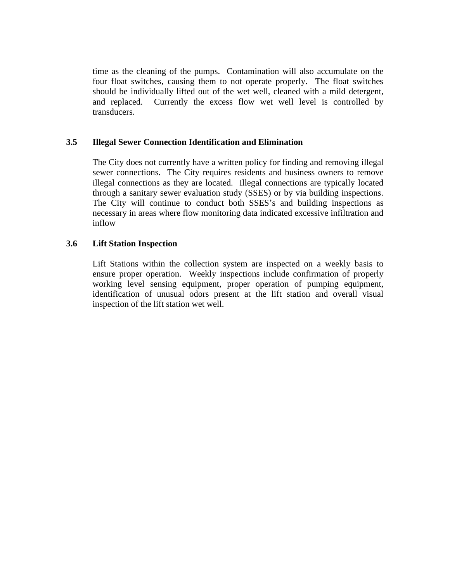time as the cleaning of the pumps. Contamination will also accumulate on the four float switches, causing them to not operate properly. The float switches should be individually lifted out of the wet well, cleaned with a mild detergent, and replaced. Currently the excess flow wet well level is controlled by transducers.

#### **3.5 Illegal Sewer Connection Identification and Elimination**

The City does not currently have a written policy for finding and removing illegal sewer connections. The City requires residents and business owners to remove illegal connections as they are located. Illegal connections are typically located through a sanitary sewer evaluation study (SSES) or by via building inspections. The City will continue to conduct both SSES's and building inspections as necessary in areas where flow monitoring data indicated excessive infiltration and inflow

#### **3.6 Lift Station Inspection**

Lift Stations within the collection system are inspected on a weekly basis to ensure proper operation. Weekly inspections include confirmation of properly working level sensing equipment, proper operation of pumping equipment, identification of unusual odors present at the lift station and overall visual inspection of the lift station wet well.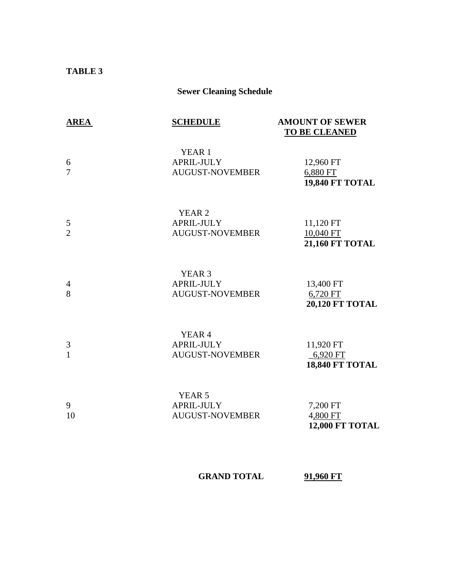#### **TABLE 3**

# **Sewer Cleaning Schedule**

| <b>AREA</b>         | <b>SCHEDULE</b>                                           | <b>AMOUNT OF SEWER</b><br><b>TO BE CLEANED</b>     |
|---------------------|-----------------------------------------------------------|----------------------------------------------------|
| 6<br>7              | YEAR <sub>1</sub><br>APRIL-JULY<br><b>AUGUST-NOVEMBER</b> | 12,960 FT<br>6,880 FT<br><b>19,840 FT TOTAL</b>    |
| 5<br>$\overline{2}$ | YEAR <sub>2</sub><br>APRIL-JULY<br><b>AUGUST-NOVEMBER</b> | 11,120 FT<br>10,040 FT<br><b>21,160 FT TOTAL</b>   |
| $\overline{4}$<br>8 | YEAR <sub>3</sub><br>APRIL-JULY<br><b>AUGUST-NOVEMBER</b> | 13,400 FT<br>6,720 FT<br><b>20,120 FT TOTAL</b>    |
| 3<br>$\mathbf{1}$   | YEAR <sub>4</sub><br>APRIL-JULY<br><b>AUGUST-NOVEMBER</b> | 11,920 FT<br>$-6,920$ FT<br><b>18,840 FT TOTAL</b> |
| 9<br>10             | YEAR <sub>5</sub><br>APRIL-JULY<br><b>AUGUST-NOVEMBER</b> | 7,200 FT<br>4,800 FT<br>12,000 FT TOTAL            |

**GRAND TOTAL 91,960 FT**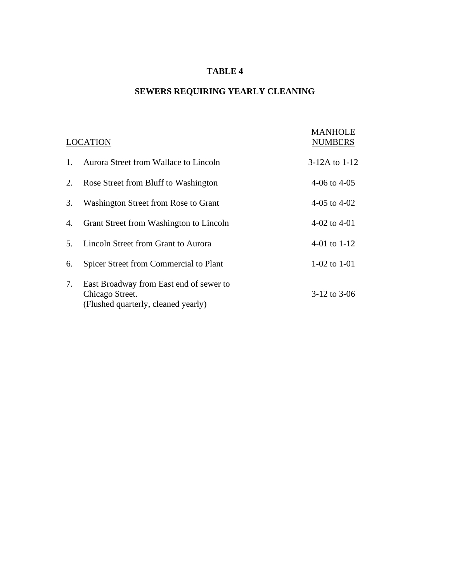# **TABLE 4**

# **SEWERS REQUIRING YEARLY CLEANING**

|                | <b>LOCATION</b>                                                                                   | <b>MANHOLE</b><br><b>NUMBERS</b> |
|----------------|---------------------------------------------------------------------------------------------------|----------------------------------|
| $\mathbf{1}$ . | Aurora Street from Wallace to Lincoln                                                             | $3-12A$ to $1-12$                |
| 2.             | Rose Street from Bluff to Washington                                                              | 4-06 to $4-05$                   |
| 3.             | Washington Street from Rose to Grant                                                              | 4-05 to $4-02$                   |
| 4.             | Grant Street from Washington to Lincoln                                                           | 4-02 to 4-01                     |
| 5.             | Lincoln Street from Grant to Aurora                                                               | 4-01 to $1-12$                   |
| 6.             | Spicer Street from Commercial to Plant                                                            | 1-02 to 1-01                     |
| 7.             | East Broadway from East end of sewer to<br>Chicago Street.<br>(Flushed quarterly, cleaned yearly) | $3-12$ to $3-06$                 |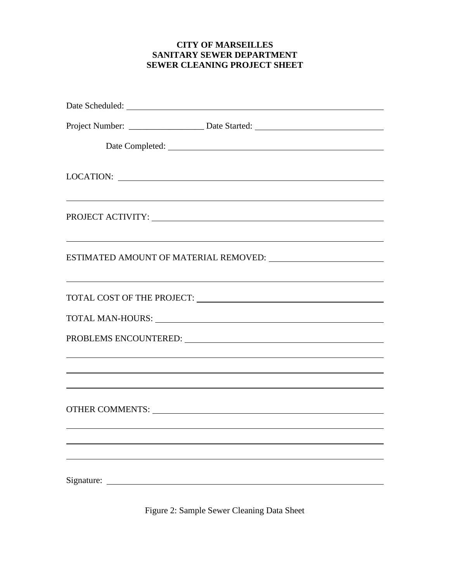#### **CITY OF MARSEILLES SANITARY SEWER DEPARTMENT SEWER CLEANING PROJECT SHEET**

| Project Number: __________________________ Date Started: ________________________                                                                                                                                              |
|--------------------------------------------------------------------------------------------------------------------------------------------------------------------------------------------------------------------------------|
|                                                                                                                                                                                                                                |
| LOCATION:                                                                                                                                                                                                                      |
| <u> 1999 - Johann Stoff, amerikansk politiker (d. 1989)</u>                                                                                                                                                                    |
|                                                                                                                                                                                                                                |
| <u> 1999 - Johann Harry Harry Harry Harry Harry Harry Harry Harry Harry Harry Harry Harry Harry Harry Harry Harry</u>                                                                                                          |
| TOTAL MAN-HOURS: New York Contract Contract Contract Contract Contract Contract Contract Contract Contract Contract Contract Contract Contract Contract Contract Contract Contract Contract Contract Contract Contract Contrac |
| PROBLEMS ENCOUNTERED: University of the contract of the contract of the contract of the contract of the contract of the contract of the contract of the contract of the contract of the contract of the contract of the contra |
| <u>. In the contract of the contract of the contract of the contract of the contract of the contract of the contract of</u>                                                                                                    |
|                                                                                                                                                                                                                                |
|                                                                                                                                                                                                                                |
|                                                                                                                                                                                                                                |
|                                                                                                                                                                                                                                |
|                                                                                                                                                                                                                                |
| Signature:                                                                                                                                                                                                                     |

Figure 2: Sample Sewer Cleaning Data Sheet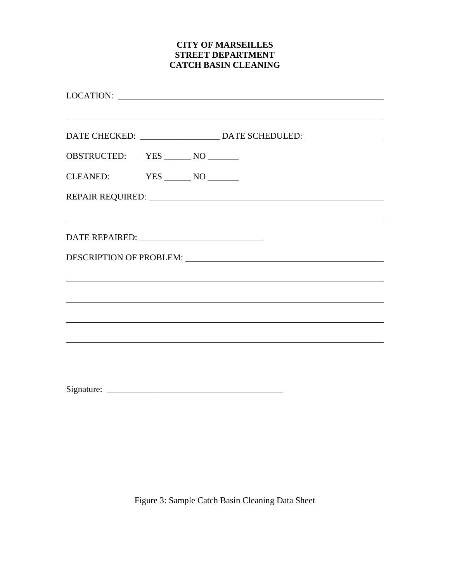#### **CITY OF MARSEILLES STREET DEPARTMENT CATCH BASIN CLEANING**

| <u> 1989 - Andrea Santa Andrea Santa Andrea Santa Andrea Santa Andrea Santa Andrea Santa Andrea Santa Andrea San</u><br>DATE CHECKED: ______________________ DATE SCHEDULED: ___________________________ |  |  |  |  |
|----------------------------------------------------------------------------------------------------------------------------------------------------------------------------------------------------------|--|--|--|--|
| OBSTRUCTED: YES _______ NO _______                                                                                                                                                                       |  |  |  |  |
|                                                                                                                                                                                                          |  |  |  |  |
| REPAIR REQUIRED: University of the Contract of the REPAIR REQUIRED:                                                                                                                                      |  |  |  |  |
| <u> 1989 - Johann Stoff, amerikansk politiker (d. 1989)</u>                                                                                                                                              |  |  |  |  |
|                                                                                                                                                                                                          |  |  |  |  |
|                                                                                                                                                                                                          |  |  |  |  |
|                                                                                                                                                                                                          |  |  |  |  |
| <u> 1989 - John Stone, amerikansk politiker (d. 1989)</u>                                                                                                                                                |  |  |  |  |
|                                                                                                                                                                                                          |  |  |  |  |
| ,我们也不会有什么。""我们的人,我们也不会有什么?""我们的人,我们也不会有什么?""我们的人,我们也不会有什么?""我们的人,我们也不会有什么?""我们的人                                                                                                                         |  |  |  |  |
|                                                                                                                                                                                                          |  |  |  |  |
|                                                                                                                                                                                                          |  |  |  |  |

Signature: \_\_\_\_\_\_\_\_\_\_\_\_\_\_\_\_\_\_\_\_\_\_\_\_\_\_\_\_\_\_\_\_\_\_\_\_\_\_\_\_

Figure 3: Sample Catch Basin Cleaning Data Sheet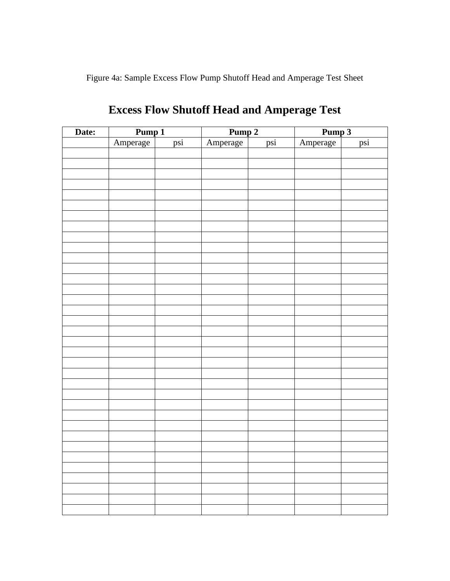Figure 4a: Sample Excess Flow Pump Shutoff Head and Amperage Test Sheet

| Date: | Pump 1   |     | Pump <sub>2</sub> |     | Pump 3   |     |
|-------|----------|-----|-------------------|-----|----------|-----|
|       | Amperage | psi | Amperage          | psi | Amperage | psi |
|       |          |     |                   |     |          |     |
|       |          |     |                   |     |          |     |
|       |          |     |                   |     |          |     |
|       |          |     |                   |     |          |     |
|       |          |     |                   |     |          |     |
|       |          |     |                   |     |          |     |
|       |          |     |                   |     |          |     |
|       |          |     |                   |     |          |     |
|       |          |     |                   |     |          |     |
|       |          |     |                   |     |          |     |
|       |          |     |                   |     |          |     |
|       |          |     |                   |     |          |     |
|       |          |     |                   |     |          |     |
|       |          |     |                   |     |          |     |
|       |          |     |                   |     |          |     |
|       |          |     |                   |     |          |     |
|       |          |     |                   |     |          |     |
|       |          |     |                   |     |          |     |
|       |          |     |                   |     |          |     |
|       |          |     |                   |     |          |     |
|       |          |     |                   |     |          |     |
|       |          |     |                   |     |          |     |
|       |          |     |                   |     |          |     |
|       |          |     |                   |     |          |     |
|       |          |     |                   |     |          |     |
|       |          |     |                   |     |          |     |
|       |          |     |                   |     |          |     |
|       |          |     |                   |     |          |     |
|       |          |     |                   |     |          |     |
|       |          |     |                   |     |          |     |
|       |          |     |                   |     |          |     |
|       |          |     |                   |     |          |     |
|       |          |     |                   |     |          |     |
|       |          |     |                   |     |          |     |
|       |          |     |                   |     |          |     |

# **Excess Flow Shutoff Head and Amperage Test**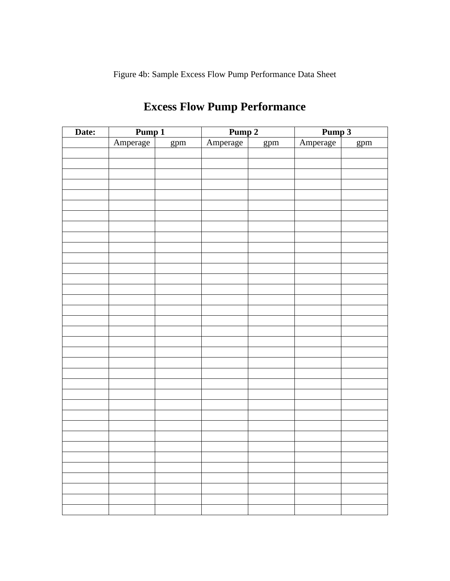Figure 4b: Sample Excess Flow Pump Performance Data Sheet

| Date: | Pump 1   |     | Pump <sub>2</sub> |     | Pump 3   |     |
|-------|----------|-----|-------------------|-----|----------|-----|
|       | Amperage | gpm | Amperage          | gpm | Amperage | gpm |
|       |          |     |                   |     |          |     |
|       |          |     |                   |     |          |     |
|       |          |     |                   |     |          |     |
|       |          |     |                   |     |          |     |
|       |          |     |                   |     |          |     |
|       |          |     |                   |     |          |     |
|       |          |     |                   |     |          |     |
|       |          |     |                   |     |          |     |
|       |          |     |                   |     |          |     |
|       |          |     |                   |     |          |     |
|       |          |     |                   |     |          |     |
|       |          |     |                   |     |          |     |
|       |          |     |                   |     |          |     |
|       |          |     |                   |     |          |     |
|       |          |     |                   |     |          |     |
|       |          |     |                   |     |          |     |
|       |          |     |                   |     |          |     |
|       |          |     |                   |     |          |     |
|       |          |     |                   |     |          |     |
|       |          |     |                   |     |          |     |
|       |          |     |                   |     |          |     |
|       |          |     |                   |     |          |     |
|       |          |     |                   |     |          |     |
|       |          |     |                   |     |          |     |
|       |          |     |                   |     |          |     |
|       |          |     |                   |     |          |     |
|       |          |     |                   |     |          |     |
|       |          |     |                   |     |          |     |
|       |          |     |                   |     |          |     |
|       |          |     |                   |     |          |     |
|       |          |     |                   |     |          |     |
|       |          |     |                   |     |          |     |
|       |          |     |                   |     |          |     |
|       |          |     |                   |     |          |     |
|       |          |     |                   |     |          |     |

# **Excess Flow Pump Performance**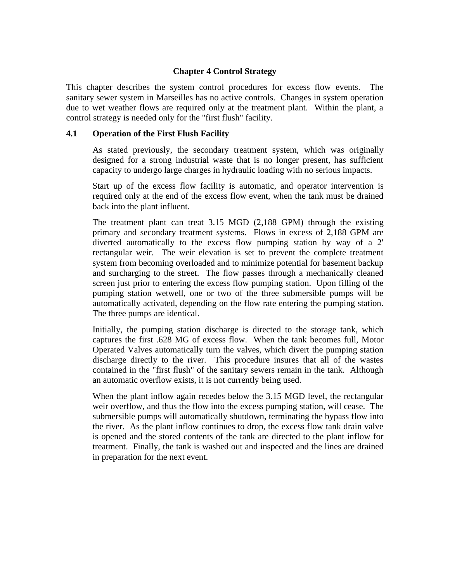#### **Chapter 4 Control Strategy**

This chapter describes the system control procedures for excess flow events. The sanitary sewer system in Marseilles has no active controls. Changes in system operation due to wet weather flows are required only at the treatment plant. Within the plant, a control strategy is needed only for the "first flush" facility.

#### **4.1 Operation of the First Flush Facility**

As stated previously, the secondary treatment system, which was originally designed for a strong industrial waste that is no longer present, has sufficient capacity to undergo large charges in hydraulic loading with no serious impacts.

Start up of the excess flow facility is automatic, and operator intervention is required only at the end of the excess flow event, when the tank must be drained back into the plant influent.

The treatment plant can treat 3.15 MGD (2,188 GPM) through the existing primary and secondary treatment systems. Flows in excess of 2,188 GPM are diverted automatically to the excess flow pumping station by way of a 2' rectangular weir. The weir elevation is set to prevent the complete treatment system from becoming overloaded and to minimize potential for basement backup and surcharging to the street. The flow passes through a mechanically cleaned screen just prior to entering the excess flow pumping station. Upon filling of the pumping station wetwell, one or two of the three submersible pumps will be automatically activated, depending on the flow rate entering the pumping station. The three pumps are identical.

Initially, the pumping station discharge is directed to the storage tank, which captures the first .628 MG of excess flow. When the tank becomes full, Motor Operated Valves automatically turn the valves, which divert the pumping station discharge directly to the river. This procedure insures that all of the wastes contained in the "first flush" of the sanitary sewers remain in the tank. Although an automatic overflow exists, it is not currently being used.

When the plant inflow again recedes below the 3.15 MGD level, the rectangular weir overflow, and thus the flow into the excess pumping station, will cease. The submersible pumps will automatically shutdown, terminating the bypass flow into the river. As the plant inflow continues to drop, the excess flow tank drain valve is opened and the stored contents of the tank are directed to the plant inflow for treatment. Finally, the tank is washed out and inspected and the lines are drained in preparation for the next event.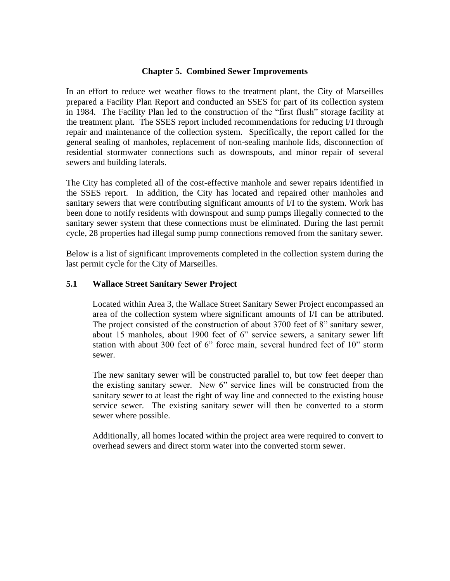#### **Chapter 5. Combined Sewer Improvements**

In an effort to reduce wet weather flows to the treatment plant, the City of Marseilles prepared a Facility Plan Report and conducted an SSES for part of its collection system in 1984. The Facility Plan led to the construction of the "first flush" storage facility at the treatment plant. The SSES report included recommendations for reducing I/I through repair and maintenance of the collection system. Specifically, the report called for the general sealing of manholes, replacement of non-sealing manhole lids, disconnection of residential stormwater connections such as downspouts, and minor repair of several sewers and building laterals.

The City has completed all of the cost-effective manhole and sewer repairs identified in the SSES report. In addition, the City has located and repaired other manholes and sanitary sewers that were contributing significant amounts of I/I to the system. Work has been done to notify residents with downspout and sump pumps illegally connected to the sanitary sewer system that these connections must be eliminated. During the last permit cycle, 28 properties had illegal sump pump connections removed from the sanitary sewer.

Below is a list of significant improvements completed in the collection system during the last permit cycle for the City of Marseilles.

#### **5.1 Wallace Street Sanitary Sewer Project**

Located within Area 3, the Wallace Street Sanitary Sewer Project encompassed an area of the collection system where significant amounts of I/I can be attributed. The project consisted of the construction of about 3700 feet of 8" sanitary sewer, about 15 manholes, about 1900 feet of 6" service sewers, a sanitary sewer lift station with about 300 feet of 6" force main, several hundred feet of 10" storm sewer.

The new sanitary sewer will be constructed parallel to, but tow feet deeper than the existing sanitary sewer. New 6" service lines will be constructed from the sanitary sewer to at least the right of way line and connected to the existing house service sewer. The existing sanitary sewer will then be converted to a storm sewer where possible.

Additionally, all homes located within the project area were required to convert to overhead sewers and direct storm water into the converted storm sewer.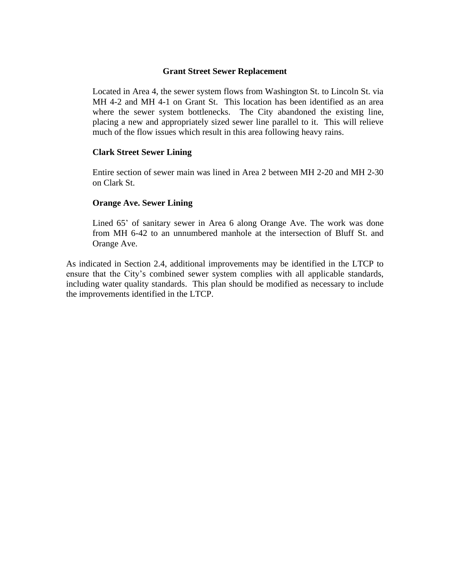#### **Grant Street Sewer Replacement**

Located in Area 4, the sewer system flows from Washington St. to Lincoln St. via MH 4-2 and MH 4-1 on Grant St. This location has been identified as an area where the sewer system bottlenecks. The City abandoned the existing line, placing a new and appropriately sized sewer line parallel to it. This will relieve much of the flow issues which result in this area following heavy rains.

#### **Clark Street Sewer Lining**

Entire section of sewer main was lined in Area 2 between MH 2-20 and MH 2-30 on Clark St.

#### **Orange Ave. Sewer Lining**

Lined 65' of sanitary sewer in Area 6 along Orange Ave. The work was done from MH 6-42 to an unnumbered manhole at the intersection of Bluff St. and Orange Ave.

As indicated in Section 2.4, additional improvements may be identified in the LTCP to ensure that the City's combined sewer system complies with all applicable standards, including water quality standards. This plan should be modified as necessary to include the improvements identified in the LTCP.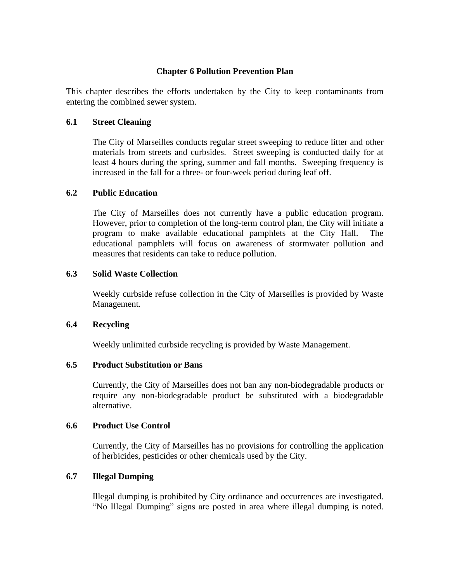#### **Chapter 6 Pollution Prevention Plan**

This chapter describes the efforts undertaken by the City to keep contaminants from entering the combined sewer system.

#### **6.1 Street Cleaning**

The City of Marseilles conducts regular street sweeping to reduce litter and other materials from streets and curbsides. Street sweeping is conducted daily for at least 4 hours during the spring, summer and fall months. Sweeping frequency is increased in the fall for a three- or four-week period during leaf off.

#### **6.2 Public Education**

The City of Marseilles does not currently have a public education program. However, prior to completion of the long-term control plan, the City will initiate a program to make available educational pamphlets at the City Hall. The educational pamphlets will focus on awareness of stormwater pollution and measures that residents can take to reduce pollution.

#### **6.3 Solid Waste Collection**

Weekly curbside refuse collection in the City of Marseilles is provided by Waste Management.

#### **6.4 Recycling**

Weekly unlimited curbside recycling is provided by Waste Management.

#### **6.5 Product Substitution or Bans**

Currently, the City of Marseilles does not ban any non-biodegradable products or require any non-biodegradable product be substituted with a biodegradable alternative.

#### **6.6 Product Use Control**

Currently, the City of Marseilles has no provisions for controlling the application of herbicides, pesticides or other chemicals used by the City.

#### **6.7 Illegal Dumping**

Illegal dumping is prohibited by City ordinance and occurrences are investigated. "No Illegal Dumping" signs are posted in area where illegal dumping is noted.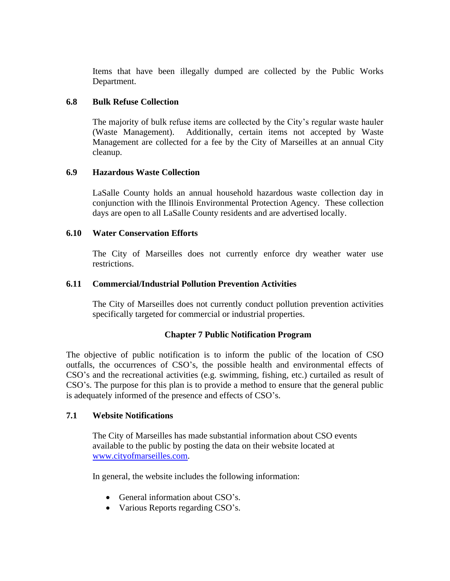Items that have been illegally dumped are collected by the Public Works Department.

#### **6.8 Bulk Refuse Collection**

The majority of bulk refuse items are collected by the City's regular waste hauler (Waste Management). Additionally, certain items not accepted by Waste Management are collected for a fee by the City of Marseilles at an annual City cleanup.

#### **6.9 Hazardous Waste Collection**

LaSalle County holds an annual household hazardous waste collection day in conjunction with the Illinois Environmental Protection Agency. These collection days are open to all LaSalle County residents and are advertised locally.

#### **6.10 Water Conservation Efforts**

The City of Marseilles does not currently enforce dry weather water use restrictions.

#### **6.11 Commercial/Industrial Pollution Prevention Activities**

The City of Marseilles does not currently conduct pollution prevention activities specifically targeted for commercial or industrial properties.

#### **Chapter 7 Public Notification Program**

The objective of public notification is to inform the public of the location of CSO outfalls, the occurrences of CSO's, the possible health and environmental effects of CSO's and the recreational activities (e.g. swimming, fishing, etc.) curtailed as result of CSO's. The purpose for this plan is to provide a method to ensure that the general public is adequately informed of the presence and effects of CSO's.

#### **7.1 Website Notifications**

The City of Marseilles has made substantial information about CSO events available to the public by posting the data on their website located at [www.cityofmarseilles.com.](http://www.cityofmarseilles.com/)

In general, the website includes the following information:

- General information about CSO's.
- Various Reports regarding CSO's.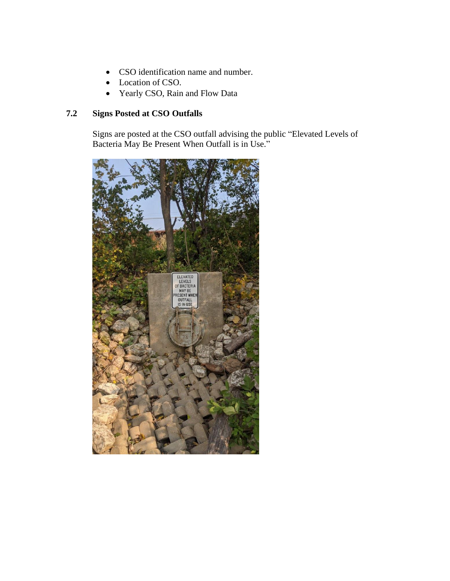- CSO identification name and number.
- Location of CSO.
- Yearly CSO, Rain and Flow Data

## **7.2 Signs Posted at CSO Outfalls**

Signs are posted at the CSO outfall advising the public "Elevated Levels of Bacteria May Be Present When Outfall is in Use."

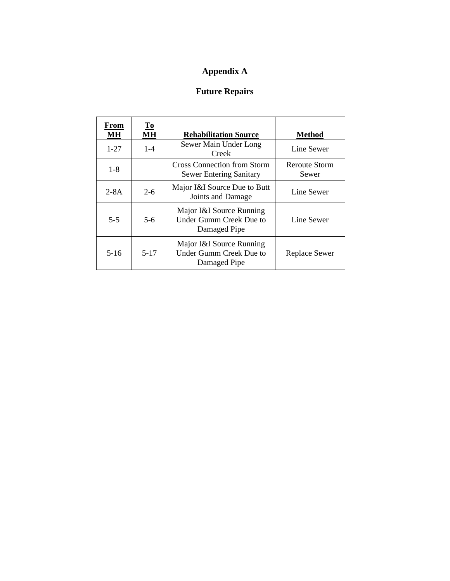# **Appendix A**

# **Future Repairs**

| From<br>MН | $\underline{\mathbf{To}}$<br>MН | <b>Rehabilitation Source</b>                                               | Method                        |
|------------|---------------------------------|----------------------------------------------------------------------------|-------------------------------|
| $1 - 27$   | $1 - 4$                         | Sewer Main Under Long<br>Creek                                             | Line Sewer                    |
| $1 - 8$    |                                 | <b>Cross Connection from Storm</b><br><b>Sewer Entering Sanitary</b>       | <b>Reroute Storm</b><br>Sewer |
| $2-8A$     | $2 - 6$                         | Major I&I Source Due to Butt<br>Joints and Damage                          | Line Sewer                    |
| $5-5$      | $5-6$                           | Major I&I Source Running<br><b>Under Gumm Creek Due to</b><br>Damaged Pipe | Line Sewer                    |
| $5-16$     | $5 - 17$                        | Major I&I Source Running<br>Under Gumm Creek Due to<br>Damaged Pipe        | Replace Sewer                 |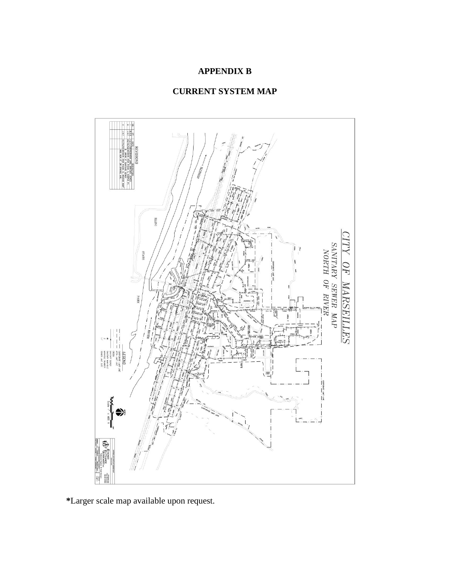# **APPENDIX B**

# **CURRENT SYSTEM MAP**



**\***Larger scale map available upon request.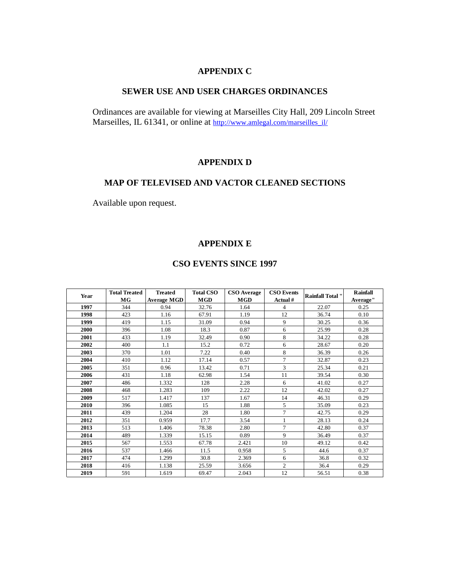#### **APPENDIX C**

#### **SEWER USE AND USER CHARGES ORDINANCES**

Ordinances are available for viewing at Marseilles City Hall, 209 Lincoln Street Marseilles, IL 61341, or online at [http://www.amlegal.com/marseilles\\_il/](http://www.amlegal.com/marseilles_il/)

#### **APPENDIX D**

#### **MAP OF TELEVISED AND VACTOR CLEANED SECTIONS**

Available upon request.

#### **APPENDIX E**

#### **CSO EVENTS SINCE 1997**

| <b>CSO EVENTS SINCE 1997</b> |                                   |                                      |                                |                                  |                               |                         |                             |
|------------------------------|-----------------------------------|--------------------------------------|--------------------------------|----------------------------------|-------------------------------|-------------------------|-----------------------------|
| Year                         | <b>Total Treated</b><br><b>MG</b> | <b>Treated</b><br><b>Average MGD</b> | <b>Total CSO</b><br><b>MGD</b> | <b>CSO</b> Average<br><b>MGD</b> | <b>CSO Events</b><br>Actual # | <b>Rainfall Total</b> " | <b>Rainfall</b><br>Average" |
| 1997                         | 344                               | 0.94                                 | 32.76                          | 1.64                             | 4                             | 22.07                   | 0.25                        |
| 1998                         | 423                               | 1.16                                 | 67.91                          | 1.19                             | 12                            | 36.74                   | 0.10                        |
| 1999                         | 419                               | 1.15                                 | 31.09                          | 0.94                             | 9                             | 30.25                   | 0.36                        |
| 2000                         | 396                               | 1.08                                 | 18.3                           | 0.87                             | 6                             | 25.99                   | 0.28                        |
| 2001                         | 433                               | 1.19                                 | 32.49                          | 0.90                             | 8                             | 34.22                   | 0.28                        |
| 2002                         | 400                               | 1.1                                  | 15.2                           | 0.72                             | 6                             | 28.67                   | 0.20                        |
| 2003                         | 370                               | 1.01                                 | 7.22                           | 0.40                             | 8                             | 36.39                   | 0.26                        |
| 2004                         | 410                               | 1.12                                 | 17.14                          | 0.57                             | $\overline{7}$                | 32.87                   | 0.23                        |
| 2005                         | 351                               | 0.96                                 | 13.42                          | 0.71                             | 3                             | 25.34                   | 0.21                        |
| 2006                         | 431                               | 1.18                                 | 62.98                          | 1.54                             | 11                            | 39.54                   | 0.30                        |
| 2007                         | 486                               | 1.332                                | 128                            | 2.28                             | 6                             | 41.02                   | 0.27                        |
| 2008                         | 468                               | 1.283                                | 109                            | 2.22                             | 12                            | 42.02                   | 0.27                        |
| 2009                         | 517                               | 1.417                                | 137                            | 1.67                             | 14                            | 46.31                   | 0.29                        |
| 2010                         | 396                               | 1.085                                | 15                             | 1.88                             | 5                             | 35.09                   | 0.23                        |
| 2011                         | 439                               | 1.204                                | 28                             | 1.80                             | $\overline{7}$                | 42.75                   | 0.29                        |
| 2012                         | 351                               | 0.959                                | 17.7                           | 3.54                             | $\mathbf{1}$                  | 28.13                   | 0.24                        |
| 2013                         | 513                               | 1.406                                | 78.38                          | 2.80                             | $\overline{7}$                | 42.80                   | 0.37                        |
| 2014                         | 489                               | 1.339                                | 15.15                          | 0.89                             | 9                             | 36.49                   | 0.37                        |
| 2015                         | 567                               | 1.553                                | 67.78                          | 2.421                            | 10                            | 49.12                   | 0.42                        |
| 2016                         | 537                               | 1.466                                | 11.5                           | 0.958                            | 5                             | 44.6                    | 0.37                        |
| 2017                         | 474                               | 1.299                                | 30.8                           | 2.369                            | 6                             | 36.8                    | 0.32                        |
| 2018                         | 416                               | 1.138                                | 25.59                          | 3.656                            | $\overline{2}$                | 36.4                    | 0.29                        |
| 2019                         | 591                               | 1.619                                | 69.47                          | 2.043                            | 12                            | 56.51                   | 0.38                        |